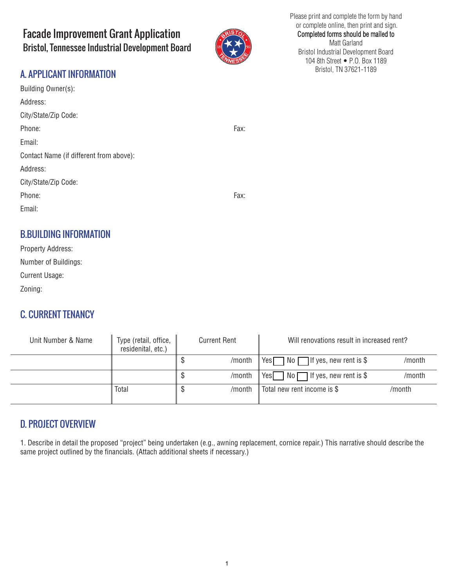# Facade Improvement Grant Application Bristol, Tennessee Industrial Development Board



#### Please print and complete the form by hand or complete online, then print and sign. Completed forms should be mailed to Matt Garland Bristol Industrial Development Board 104 8th Street • P.O. Box 1189 Bristol, TN 37621-1189

# A. APPLICANT INFORMATION

| Building Owner(s):                      |      |
|-----------------------------------------|------|
| Address:                                |      |
| City/State/Zip Code:                    |      |
| Phone:                                  | Fax: |
| Email:                                  |      |
| Contact Name (if different from above): |      |
| Address:                                |      |
| City/State/Zip Code:                    |      |
| Phone:                                  | Fax: |
| Email:                                  |      |
|                                         |      |
| <b>B.BUILDING INFORMATION</b>           |      |

| <b>Property Address:</b> |  |  |
|--------------------------|--|--|
| Number of Buildings:     |  |  |
| <b>Current Usage:</b>    |  |  |
| Zoning:                  |  |  |

## C. CURRENT TENANCY

| Unit Number & Name | Type (retail, office,<br>residenital, etc.) | Current Rent |        | Will renovations result in increased rent?  |        |
|--------------------|---------------------------------------------|--------------|--------|---------------------------------------------|--------|
|                    |                                             |              | /month | Yes $\Box$ No $\Box$ If yes, new rent is \$ | /month |
|                    |                                             |              | /month | Yes $\Box$ No $\Box$ If yes, new rent is \$ | /month |
|                    | Total                                       |              | /month | Total new rent income is \$                 | /month |

## D. PROJECT OVERVIEW

1. Describe in detail the proposed "project" being undertaken (e.g., awning replacement, cornice repair.) This narrative should describe the same project outlined by the financials. (Attach additional sheets if necessary.)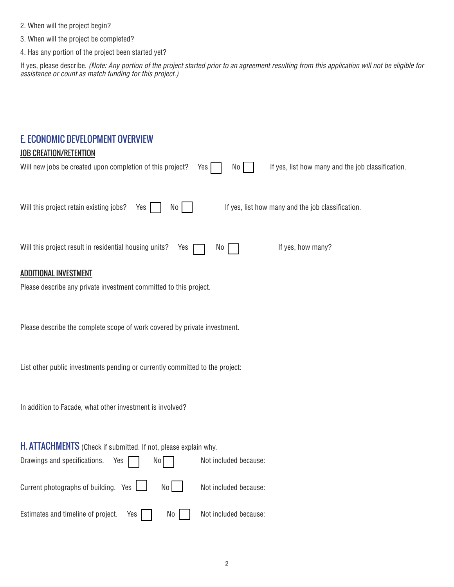- 2. When will the project begin?
- 3. When will the project be completed?
- 4. Has any portion of the project been started yet?

If yes, please describe. *(Note: Any portion of the project started prior to an agreement resulting from this application will not be eligible for assistance or count as match funding for this project.)*

#### E. ECONOMIC DEVELOPMENT OVERVIEW

#### **JOB CREATION/RETENTION**

| Will new jobs be created upon completion of this project?<br>If yes, list how many and the job classification.<br>No<br>Yes |  |  |  |  |
|-----------------------------------------------------------------------------------------------------------------------------|--|--|--|--|
| Will this project retain existing jobs?<br>If yes, list how many and the job classification.<br>No<br>Yes                   |  |  |  |  |
| If yes, how many?<br>Will this project result in residential housing units?<br>Yes<br>No                                    |  |  |  |  |
| <b>ADDITIONAL INVESTMENT</b>                                                                                                |  |  |  |  |
| Please describe any private investment committed to this project.                                                           |  |  |  |  |
|                                                                                                                             |  |  |  |  |
| Please describe the complete scope of work covered by private investment.                                                   |  |  |  |  |
|                                                                                                                             |  |  |  |  |
|                                                                                                                             |  |  |  |  |
| List other public investments pending or currently committed to the project:                                                |  |  |  |  |
|                                                                                                                             |  |  |  |  |
| In addition to Facade, what other investment is involved?                                                                   |  |  |  |  |
|                                                                                                                             |  |  |  |  |
| H. ATTACHMENTS (Check if submitted. If not, please explain why.                                                             |  |  |  |  |
| Drawings and specifications.<br>Not included because:<br>Yes<br>No                                                          |  |  |  |  |
|                                                                                                                             |  |  |  |  |
| Current photographs of building. Yes<br>No<br>Not included because:                                                         |  |  |  |  |
| Estimates and timeline of project.<br>Not included because:<br>Yes<br>No                                                    |  |  |  |  |